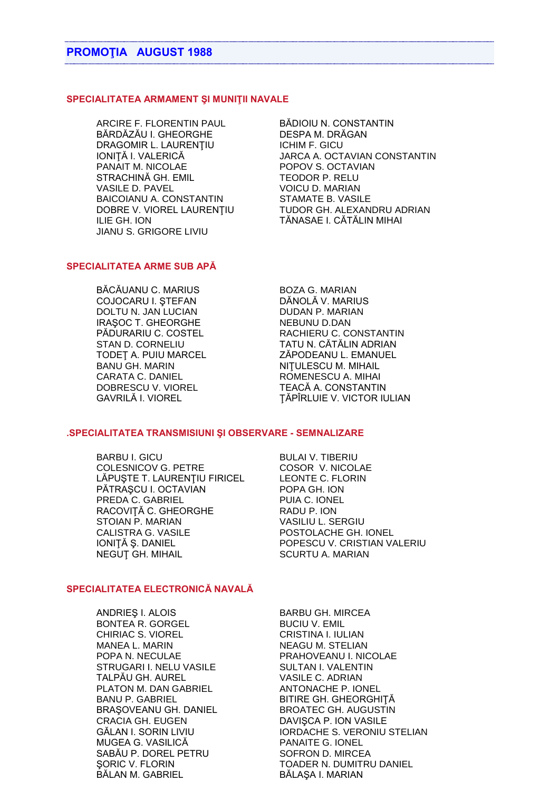## **SPECIALITATEA ARMAMENT ŞI MUNIŢII NAVALE**

ARCIRE F. FLORENTIN PAUL BĂDIOIU N. CONSTANTIN BĂRDĂZĂU I. GHEORGHE DESPA M. DRĂGAN DRAGOMIR L. LAURENȚIU ICHIM F. GICU PANAIT M. NICOLAE POPOV S. OCTAVIAN<br>STRACHINĂ GH. EMIL TEODOR P. RELU STRACHINĂ GH. EMIL VASILE D. PAVEL VOICU D. MARIAN BAICOIANU A. CONSTANTIN STAMATE B. VASILE ILIE GH. ION TĂNASAE I. CĂTĂLIN MIHAI JIANU S. GRIGORE LIVIU

IONIȚĂ I. VALERICĂ JARCA A. OCTAVIAN CONSTANTIN DOBRE V. VIOREL LAURENŢIU TUDOR GH. ALEXANDRU ADRIAN

## **SPECIALITATEA ARME SUB APĂ**

BĂCĂUANU C. MARIUS BOZA G. MARIAN COJOCARU I. ȘTEFAN DOLTU N. JAN LUCIAN DUDAN P. MARIAN IRAȘOC T. GHEORGHE NEBUNU D.DAN<br>PĂDURARIU C. COSTEL RACHIERU C. CO BANU GH. MARIN NITULESCU M. MIHAIL CARATA C. DANIEL ROMENESCU A. MIHAI DOBRESCU V. VIOREL TEACĂ A. CONSTANTIN

RACHIERU C. CONSTANTIN STAN D. CORNELIU TATU N. CĂTĂLIN ADRIAN TODEȚ A. PUIU MARCEL ZĂPODEANU L. EMANUEL GAVRILĂ I. VIOREL ŢĂPÎRLUIE V. VICTOR IULIAN

## **.SPECIALITATEA TRANSMISIUNI ŞI OBSERVARE - SEMNALIZARE**

BARBU I. GICU BULAI V. TIBERIU COLESNICOV G. PETRE COSOR V. NICOLAE LĂPUȘTE T. LAURENȚIU FIRICEL LEONTE C. FLORIN PĂTRAȘCU I. OCTAVIAN POPA GH. ION PREDA C. GABRIEL PUIA C. IONEL RACOVITĂ C. GHEORGHE RADU P. ION STOIAN P. MARIAN VASILIU L. SERGIU CALISTRA G. VASILE POSTOLACHE GH. IONEL IONIŢĂ Ş. DANIEL POPESCU V. CRISTIAN VALERIU NEGUȚ GH. MIHAIL SCURTU A. MARIAN

## **SPECIALITATEA ELECTRONICĂ NAVALĂ**

ANDRIEȘ I. ALOIS BARBU GH. MIRCEA BONTEA R. GORGEL BUCIU V. EMIL CHIRIAC S. VIOREL CRISTINA I. IULIAN MANEA L. MARIN NEAGU M. STELIAN POPA N. NECULAE POPA N. PRAHOVEANU I. NICOLAE STRUGARI I. NELU VASILE SULTAN I. VALENTIN TALPĂU GH. AUREL VASILE C. ADRIAN PLATON M. DAN GABRIEL ANTONACHE P. IONEL BANU P. GABRIEL BITIRE GH. GHEORGHITĂ BRAŞOVEANU GH. DANIEL BROATEC GH. AUGUSTIN CRACIA GH. EUGEN DAVIŞCA P. ION VASILE MUGEA G. VASILICĂ PANAITE G. IONEL SABĂU P. DOREL PETRU SOFRON D. MIRCEA BĂLAN M. GABRIEL BĂLAȘA I. MARIAN

GĂLAN I. SORIN LIVIU **IORDACHE S. VERONIU STELIAN** SORIC V. FLORIN TOADER N. DUMITRU DANIEL